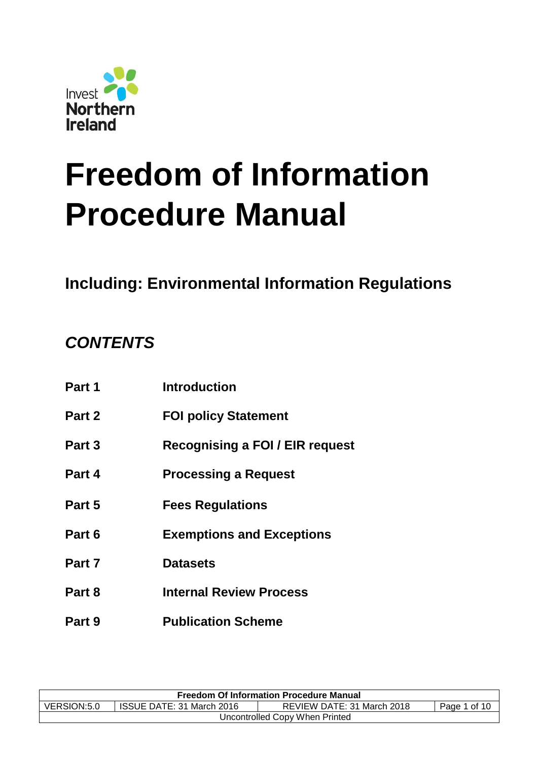

# **Freedom of Information Procedure Manual**

# **Including: Environmental Information Regulations**

# *CONTENTS*

| Part 1 | <b>Introduction</b>              |
|--------|----------------------------------|
| Part 2 | <b>FOI policy Statement</b>      |
| Part 3 | Recognising a FOI / EIR request  |
| Part 4 | <b>Processing a Request</b>      |
| Part 5 | <b>Fees Regulations</b>          |
| Part 6 | <b>Exemptions and Exceptions</b> |
| Part 7 | <b>Datasets</b>                  |
| Part 8 | <b>Internal Review Process</b>   |
| Part 9 | <b>Publication Scheme</b>        |

| <b>Freedom Of Information Procedure Manual</b>                                         |  |  |  |  |
|----------------------------------------------------------------------------------------|--|--|--|--|
| VERSION:5.0<br>REVIEW DATE: 31 March 2018<br>ISSUE DATE: 31 March 2016<br>Page 1 of 10 |  |  |  |  |
| Uncontrolled Copy When Printed                                                         |  |  |  |  |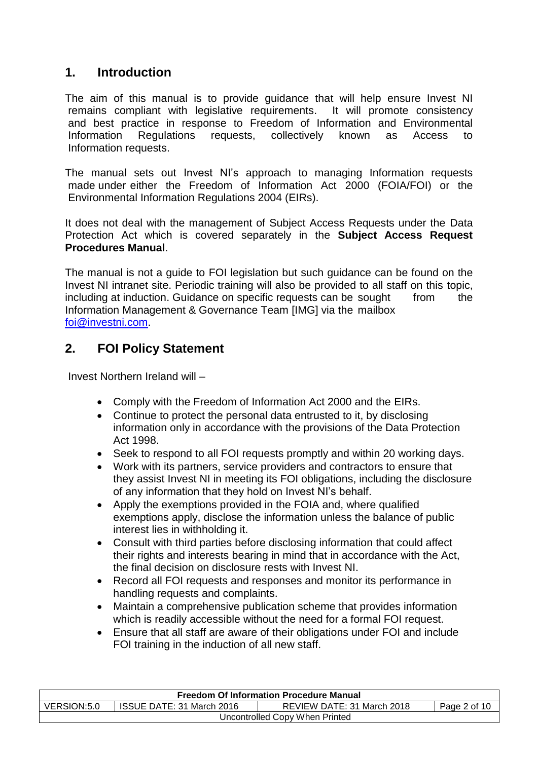# **1. Introduction**

The aim of this manual is to provide guidance that will help ensure Invest NI remains compliant with legislative requirements. It will promote consistency and best practice in response to Freedom of Information and Environmental Information Regulations requests, collectively known as Access to Information requests.

The manual sets out Invest NI's approach to managing Information requests made under either the Freedom of Information Act 2000 (FOIA/FOI) or the Environmental Information Regulations 2004 (EIRs).

It does not deal with the management of Subject Access Requests under the Data Protection Act which is covered separately in the **Subject Access Request Procedures Manual**.

The manual is not a guide to FOI legislation but such guidance can be found on the Invest NI intranet site. Periodic training will also be provided to all staff on this topic, including at induction. Guidance on specific requests can be sought from the Information Management & Governance Team [IMG] via the mailbox [foi@investni.com.](mailto:foi@investni.com)

# **2. FOI Policy Statement**

Invest Northern Ireland will –

- Comply with the Freedom of Information Act 2000 and the EIRs.
- Continue to protect the personal data entrusted to it, by disclosing information only in accordance with the provisions of the Data Protection Act 1998.
- Seek to respond to all FOI requests promptly and within 20 working days.
- Work with its partners, service providers and contractors to ensure that they assist Invest NI in meeting its FOI obligations, including the disclosure of any information that they hold on Invest NI's behalf.
- Apply the exemptions provided in the FOIA and, where qualified exemptions apply, disclose the information unless the balance of public interest lies in withholding it.
- Consult with third parties before disclosing information that could affect their rights and interests bearing in mind that in accordance with the Act, the final decision on disclosure rests with Invest NI.
- Record all FOI requests and responses and monitor its performance in handling requests and complaints.
- Maintain a comprehensive publication scheme that provides information which is readily accessible without the need for a formal FOI request.
- Ensure that all staff are aware of their obligations under FOI and include FOI training in the induction of all new staff.

| <b>Freedom Of Information Procedure Manual</b> |                           |                            |              |  |
|------------------------------------------------|---------------------------|----------------------------|--------------|--|
| VERSION:5.0                                    | ISSUE DATE: 31 March 2016 | REVIEW DATE: 31 March 2018 | Page 2 of 10 |  |
| Uncontrolled Copy When Printed                 |                           |                            |              |  |
|                                                |                           |                            |              |  |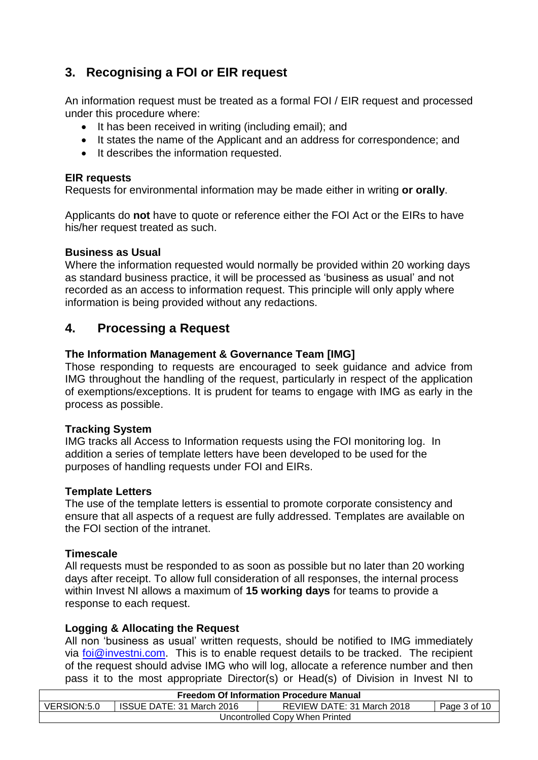# **3. Recognising a FOI or EIR request**

An information request must be treated as a formal FOI / EIR request and processed under this procedure where:

- It has been received in writing (including email); and
- It states the name of the Applicant and an address for correspondence; and
- It describes the information requested.

#### **EIR requests**

Requests for environmental information may be made either in writing **or orally**.

Applicants do **not** have to quote or reference either the FOI Act or the EIRs to have his/her request treated as such.

#### **Business as Usual**

Where the information requested would normally be provided within 20 working days as standard business practice, it will be processed as 'business as usual' and not recorded as an access to information request. This principle will only apply where information is being provided without any redactions.

# **4. Processing a Request**

#### **The Information Management & Governance Team [IMG]**

Those responding to requests are encouraged to seek guidance and advice from IMG throughout the handling of the request, particularly in respect of the application of exemptions/exceptions. It is prudent for teams to engage with IMG as early in the process as possible.

#### **Tracking System**

IMG tracks all Access to Information requests using the FOI monitoring log. In addition a series of template letters have been developed to be used for the purposes of handling requests under FOI and EIRs.

#### **Template Letters**

The use of the template letters is essential to promote corporate consistency and ensure that all aspects of a request are fully addressed. Templates are available on the FOI section of the intranet.

#### **Timescale**

All requests must be responded to as soon as possible but no later than 20 working days after receipt. To allow full consideration of all responses, the internal process within Invest NI allows a maximum of **15 working days** for teams to provide a response to each request.

#### **Logging & Allocating the Request**

All non 'business as usual' written requests, should be notified to IMG immediately via [foi@investni.com.](mailto:foi@investni.com) This is to enable request details to be tracked. The recipient of the request should advise IMG who will log, allocate a reference number and then pass it to the most appropriate Director(s) or Head(s) of Division in Invest NI to

| <b>Freedom Of Information Procedure Manual</b> |                                                                         |  |  |  |  |
|------------------------------------------------|-------------------------------------------------------------------------|--|--|--|--|
| VERSION:5.0                                    | ISSUE DATE: 31 March 2016<br>REVIEW DATE: 31 March 2018<br>Page 3 of 10 |  |  |  |  |
| Uncontrolled Copy When Printed                 |                                                                         |  |  |  |  |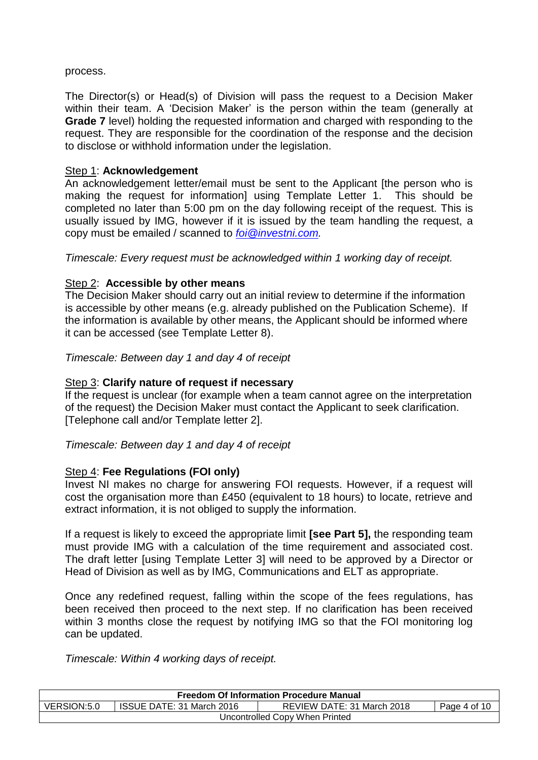#### process.

The Director(s) or Head(s) of Division will pass the request to a Decision Maker within their team. A 'Decision Maker' is the person within the team (generally at **Grade 7** level) holding the requested information and charged with responding to the request. They are responsible for the coordination of the response and the decision to disclose or withhold information under the legislation.

#### Step 1: **Acknowledgement**

An acknowledgement letter/email must be sent to the Applicant [the person who is making the request for information] using Template Letter 1. This should be completed no later than 5:00 pm on the day following receipt of the request. This is usually issued by IMG, however if it is issued by the team handling the request, a copy must be emailed / scanned to *[foi@investni.com.](mailto:foi@investni.com)*

*Timescale: Every request must be acknowledged within 1 working day of receipt.* 

#### Step 2: **Accessible by other means**

The Decision Maker should carry out an initial review to determine if the information is accessible by other means (e.g. already published on the Publication Scheme). If the information is available by other means, the Applicant should be informed where it can be accessed (see Template Letter 8).

*Timescale: Between day 1 and day 4 of receipt*

#### Step 3: **Clarify nature of request if necessary**

If the request is unclear (for example when a team cannot agree on the interpretation of the request) the Decision Maker must contact the Applicant to seek clarification. [Telephone call and/or Template letter 2].

*Timescale: Between day 1 and day 4 of receipt*

#### Step 4: **Fee Regulations (FOI only)**

Invest NI makes no charge for answering FOI requests. However, if a request will cost the organisation more than £450 (equivalent to 18 hours) to locate, retrieve and extract information, it is not obliged to supply the information.

If a request is likely to exceed the appropriate limit **[see Part 5],** the responding team must provide IMG with a calculation of the time requirement and associated cost. The draft letter [using Template Letter 3] will need to be approved by a Director or Head of Division as well as by IMG, Communications and ELT as appropriate.

Once any redefined request, falling within the scope of the fees regulations, has been received then proceed to the next step. If no clarification has been received within 3 months close the request by notifying IMG so that the FOI monitoring log can be updated.

*Timescale: Within 4 working days of receipt.*

| <b>Freedom Of Information Procedure Manual</b>                                         |  |  |  |  |
|----------------------------------------------------------------------------------------|--|--|--|--|
| VERSION:5.0<br>ISSUE DATE: 31 March 2016<br>REVIEW DATE: 31 March 2018<br>Page 4 of 10 |  |  |  |  |
| Uncontrolled Copy When Printed                                                         |  |  |  |  |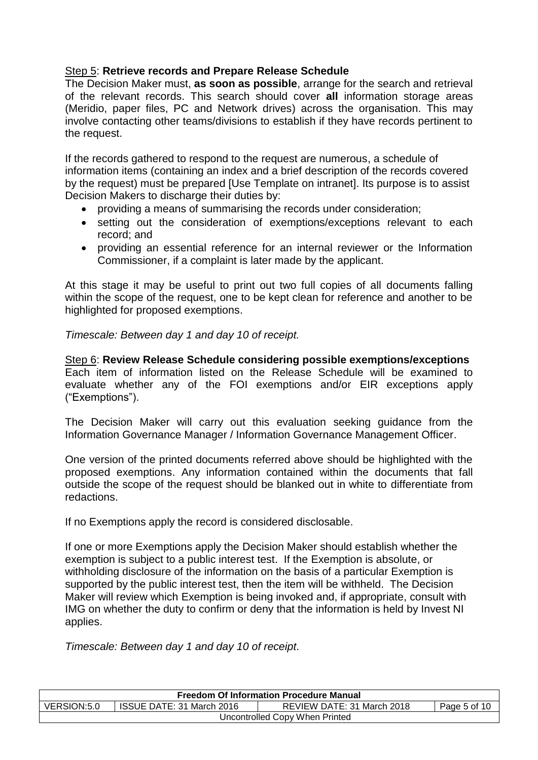#### Step 5: **Retrieve records and Prepare Release Schedule**

The Decision Maker must, **as soon as possible**, arrange for the search and retrieval of the relevant records. This search should cover **all** information storage areas (Meridio, paper files, PC and Network drives) across the organisation. This may involve contacting other teams/divisions to establish if they have records pertinent to the request.

If the records gathered to respond to the request are numerous, a schedule of information items (containing an index and a brief description of the records covered by the request) must be prepared [Use Template on intranet]. Its purpose is to assist Decision Makers to discharge their duties by:

- providing a means of summarising the records under consideration;
- setting out the consideration of exemptions/exceptions relevant to each record; and
- providing an essential reference for an internal reviewer or the Information Commissioner, if a complaint is later made by the applicant.

At this stage it may be useful to print out two full copies of all documents falling within the scope of the request, one to be kept clean for reference and another to be highlighted for proposed exemptions.

*Timescale: Between day 1 and day 10 of receipt.*

Step 6: **Review Release Schedule considering possible exemptions/exceptions** Each item of information listed on the Release Schedule will be examined to evaluate whether any of the FOI exemptions and/or EIR exceptions apply ("Exemptions").

The Decision Maker will carry out this evaluation seeking guidance from the Information Governance Manager / Information Governance Management Officer.

One version of the printed documents referred above should be highlighted with the proposed exemptions. Any information contained within the documents that fall outside the scope of the request should be blanked out in white to differentiate from redactions.

If no Exemptions apply the record is considered disclosable.

If one or more Exemptions apply the Decision Maker should establish whether the exemption is subject to a public interest test. If the Exemption is absolute, or withholding disclosure of the information on the basis of a particular Exemption is supported by the public interest test, then the item will be withheld. The Decision Maker will review which Exemption is being invoked and, if appropriate, consult with IMG on whether the duty to confirm or deny that the information is held by Invest NI applies.

*Timescale: Between day 1 and day 10 of receipt.*

| <b>Freedom Of Information Procedure Manual</b>                                         |  |  |  |  |
|----------------------------------------------------------------------------------------|--|--|--|--|
| VERSION:5.0<br>ISSUE DATE: 31 March 2016<br>REVIEW DATE: 31 March 2018<br>Page 5 of 10 |  |  |  |  |
| Uncontrolled Copy When Printed                                                         |  |  |  |  |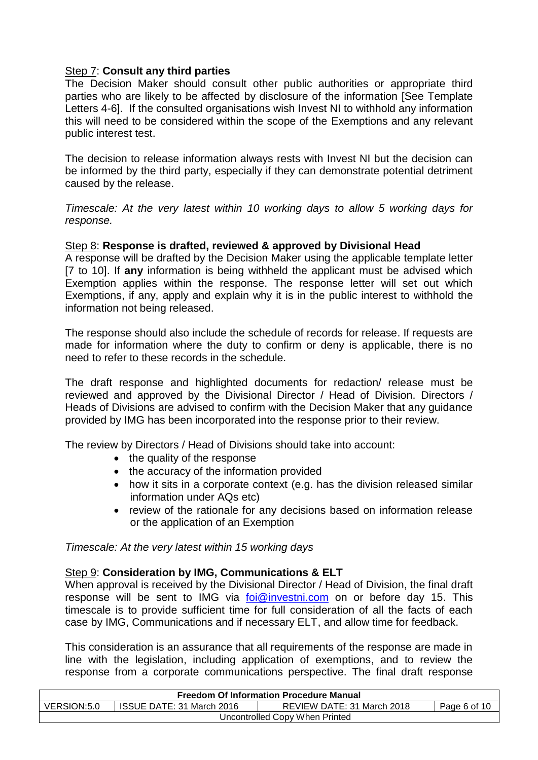#### Step 7: **Consult any third parties**

The Decision Maker should consult other public authorities or appropriate third parties who are likely to be affected by disclosure of the information [See Template Letters 4-6]. If the consulted organisations wish Invest NI to withhold any information this will need to be considered within the scope of the Exemptions and any relevant public interest test.

The decision to release information always rests with Invest NI but the decision can be informed by the third party, especially if they can demonstrate potential detriment caused by the release.

*Timescale: At the very latest within 10 working days to allow 5 working days for response.*

#### Step 8: **Response is drafted, reviewed & approved by Divisional Head**

A response will be drafted by the Decision Maker using the applicable template letter [7 to 10]. If **any** information is being withheld the applicant must be advised which Exemption applies within the response. The response letter will set out which Exemptions, if any, apply and explain why it is in the public interest to withhold the information not being released.

The response should also include the schedule of records for release. If requests are made for information where the duty to confirm or deny is applicable, there is no need to refer to these records in the schedule.

The draft response and highlighted documents for redaction/ release must be reviewed and approved by the Divisional Director / Head of Division. Directors / Heads of Divisions are advised to confirm with the Decision Maker that any guidance provided by IMG has been incorporated into the response prior to their review.

The review by Directors / Head of Divisions should take into account:

- the quality of the response
- the accuracy of the information provided
- how it sits in a corporate context (e.g. has the division released similar information under AQs etc)
- review of the rationale for any decisions based on information release or the application of an Exemption

*Timescale: At the very latest within 15 working days*

#### Step 9: **Consideration by IMG, Communications & ELT**

When approval is received by the Divisional Director / Head of Division, the final draft response will be sent to IMG via [foi@investni.com](mailto:foi@investni.com) on or before day 15. This timescale is to provide sufficient time for full consideration of all the facts of each case by IMG, Communications and if necessary ELT, and allow time for feedback.

This consideration is an assurance that all requirements of the response are made in line with the legislation, including application of exemptions, and to review the response from a corporate communications perspective. The final draft response

| <b>Freedom Of Information Procedure Manual</b>                                         |  |  |  |  |
|----------------------------------------------------------------------------------------|--|--|--|--|
| VERSION:5.0<br>ISSUE DATE: 31 March 2016<br>REVIEW DATE: 31 March 2018<br>Page 6 of 10 |  |  |  |  |
| Uncontrolled Copy When Printed                                                         |  |  |  |  |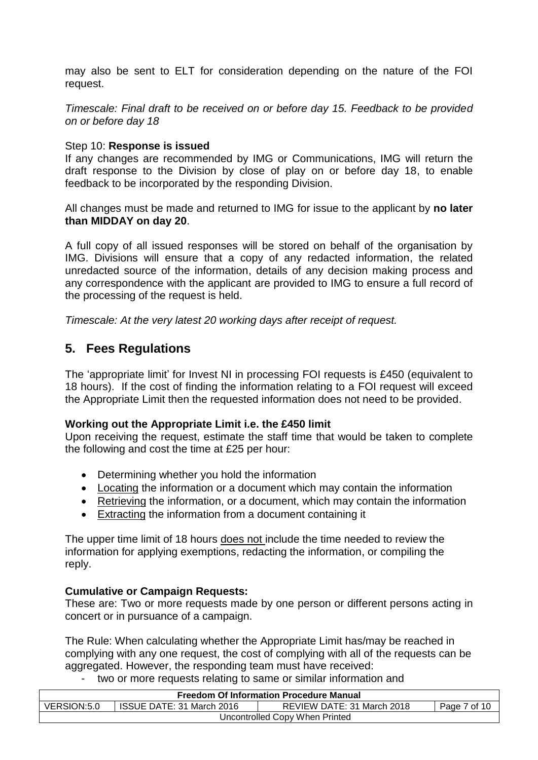may also be sent to ELT for consideration depending on the nature of the FOI request.

*Timescale: Final draft to be received on or before day 15. Feedback to be provided on or before day 18*

#### Step 10: **Response is issued**

If any changes are recommended by IMG or Communications, IMG will return the draft response to the Division by close of play on or before day 18, to enable feedback to be incorporated by the responding Division.

All changes must be made and returned to IMG for issue to the applicant by **no later than MIDDAY on day 20**.

A full copy of all issued responses will be stored on behalf of the organisation by IMG. Divisions will ensure that a copy of any redacted information, the related unredacted source of the information, details of any decision making process and any correspondence with the applicant are provided to IMG to ensure a full record of the processing of the request is held.

*Timescale: At the very latest 20 working days after receipt of request.*

### **5. Fees Regulations**

The 'appropriate limit' for Invest NI in processing FOI requests is £450 (equivalent to 18 hours). If the cost of finding the information relating to a FOI request will exceed the Appropriate Limit then the requested information does not need to be provided.

#### **Working out the Appropriate Limit i.e. the £450 limit**

Upon receiving the request, estimate the staff time that would be taken to complete the following and cost the time at £25 per hour:

- Determining whether you hold the information
- Locating the information or a document which may contain the information
- Retrieving the information, or a document, which may contain the information
- Extracting the information from a document containing it

The upper time limit of 18 hours does not include the time needed to review the information for applying exemptions, redacting the information, or compiling the reply.

#### **Cumulative or Campaign Requests:**

These are: Two or more requests made by one person or different persons acting in concert or in pursuance of a campaign.

The Rule: When calculating whether the Appropriate Limit has/may be reached in complying with any one request, the cost of complying with all of the requests can be aggregated. However, the responding team must have received:

two or more requests relating to same or similar information and

| <b>Freedom Of Information Procedure Manual</b>                                         |  |  |  |  |
|----------------------------------------------------------------------------------------|--|--|--|--|
| VERSION:5.0<br>REVIEW DATE: 31 March 2018<br>ISSUE DATE: 31 March 2016<br>Page 7 of 10 |  |  |  |  |
| Uncontrolled Copy When Printed                                                         |  |  |  |  |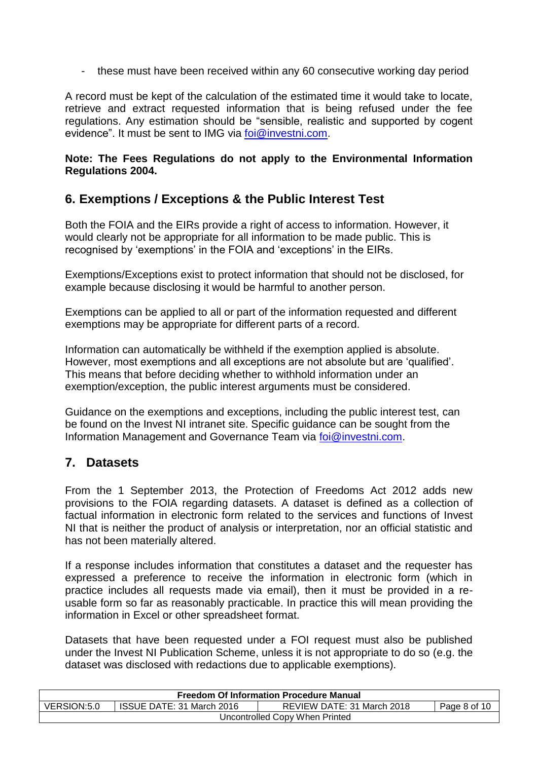- these must have been received within any 60 consecutive working day period

A record must be kept of the calculation of the estimated time it would take to locate, retrieve and extract requested information that is being refused under the fee regulations. Any estimation should be "sensible, realistic and supported by cogent evidence". It must be sent to IMG via [foi@investni.com.](mailto:foi@investni.com)

#### **Note: The Fees Regulations do not apply to the Environmental Information Regulations 2004.**

# **6. Exemptions / Exceptions & the Public Interest Test**

Both the FOIA and the EIRs provide a right of access to information. However, it would clearly not be appropriate for all information to be made public. This is recognised by 'exemptions' in the FOIA and 'exceptions' in the EIRs.

Exemptions/Exceptions exist to protect information that should not be disclosed, for example because disclosing it would be harmful to another person.

Exemptions can be applied to all or part of the information requested and different exemptions may be appropriate for different parts of a record.

Information can automatically be withheld if the exemption applied is absolute. However, most exemptions and all exceptions are not absolute but are 'qualified'. This means that before deciding whether to withhold information under an exemption/exception, the public interest arguments must be considered.

Guidance on the exemptions and exceptions, including the public interest test, can be found on the Invest NI intranet site. Specific guidance can be sought from the Information Management and Governance Team via [foi@investni.com.](mailto:foi@investni.com)

# **7. Datasets**

From the 1 September 2013, the Protection of Freedoms Act 2012 adds new provisions to the FOIA regarding datasets. A dataset is defined as a collection of factual information in electronic form related to the services and functions of Invest NI that is neither the product of analysis or interpretation, nor an official statistic and has not been materially altered.

If a response includes information that constitutes a dataset and the requester has expressed a preference to receive the information in electronic form (which in practice includes all requests made via email), then it must be provided in a reusable form so far as reasonably practicable. In practice this will mean providing the information in Excel or other spreadsheet format.

Datasets that have been requested under a FOI request must also be published under the Invest NI Publication Scheme, unless it is not appropriate to do so (e.g. the dataset was disclosed with redactions due to applicable exemptions).

| <b>Freedom Of Information Procedure Manual</b> |                           |                            |              |  |
|------------------------------------------------|---------------------------|----------------------------|--------------|--|
| VERSION:5.0                                    | ISSUE DATE: 31 March 2016 | REVIEW DATE: 31 March 2018 | Page 8 of 10 |  |
| Uncontrolled Copy When Printed                 |                           |                            |              |  |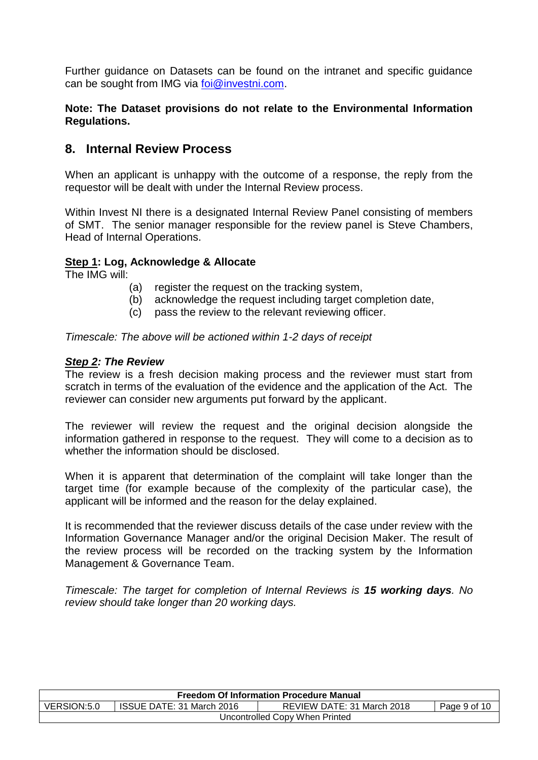Further guidance on Datasets can be found on the intranet and specific guidance can be sought from IMG via [foi@investni.com.](mailto:foi@investni.com)

#### **Note: The Dataset provisions do not relate to the Environmental Information Regulations.**

## **8. Internal Review Process**

When an applicant is unhappy with the outcome of a response, the reply from the requestor will be dealt with under the Internal Review process.

Within Invest NI there is a designated Internal Review Panel consisting of members of SMT. The senior manager responsible for the review panel is Steve Chambers, Head of Internal Operations.

#### **Step 1: Log, Acknowledge & Allocate**

The IMG will:

- (a) register the request on the tracking system,
- (b) acknowledge the request including target completion date,
- (c) pass the review to the relevant reviewing officer.

*Timescale: The above will be actioned within 1-2 days of receipt*

#### *Step 2: The Review*

The review is a fresh decision making process and the reviewer must start from scratch in terms of the evaluation of the evidence and the application of the Act. The reviewer can consider new arguments put forward by the applicant.

The reviewer will review the request and the original decision alongside the information gathered in response to the request. They will come to a decision as to whether the information should be disclosed.

When it is apparent that determination of the complaint will take longer than the target time (for example because of the complexity of the particular case), the applicant will be informed and the reason for the delay explained.

It is recommended that the reviewer discuss details of the case under review with the Information Governance Manager and/or the original Decision Maker. The result of the review process will be recorded on the tracking system by the Information Management & Governance Team.

*Timescale: The target for completion of Internal Reviews is 15 working days. No review should take longer than 20 working days.*

| <b>Freedom Of Information Procedure Manual</b>                                         |  |  |  |  |
|----------------------------------------------------------------------------------------|--|--|--|--|
| VERSION:5.0<br>ISSUE DATE: 31 March 2016<br>REVIEW DATE: 31 March 2018<br>Page 9 of 10 |  |  |  |  |
| Uncontrolled Copy When Printed                                                         |  |  |  |  |